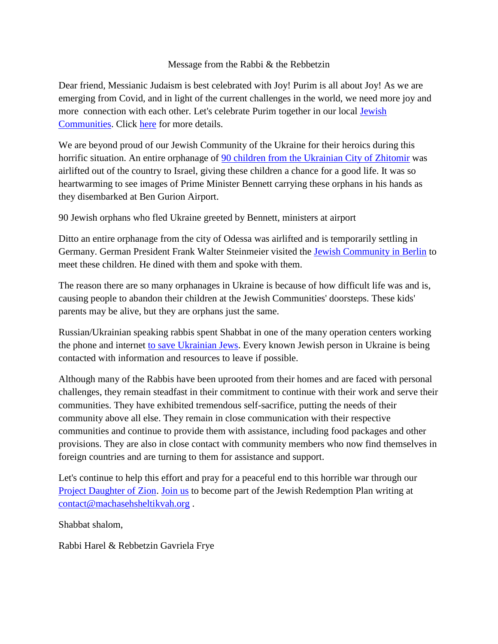## Message from the Rabbi & the Rebbetzin

Dear friend, Messianic Judaism is best celebrated with Joy! Purim is all about Joy! As we are emerging from Covid, and in light of the current challenges in the world, we need more joy and more connection with each other. Let's celebrate Purim together in our local [Jewish](mailto:contact@machasehsheltikvah.org)  [Communities.](mailto:contact@machasehsheltikvah.org) Click [here](mailto:contact@machasehsheltikvah.org) for more details.

We are beyond proud of our Jewish Community of the Ukraine for their heroics during this horrific situation. An entire orphanage of [90 children from the Ukrainian City of Zhitomir](https://www.timesofisrael.com/90-jewish-orphans-who-fled-ukraine-greeted-by-bennett-ministers-at-airport/) was airlifted out of the country to Israel, giving these children a chance for a good life. It was so heartwarming to see images of Prime Minister Bennett carrying these orphans in his hands as they disembarked at Ben Gurion Airport.

90 Jewish orphans who fled Ukraine greeted by Bennett, ministers at airport

Ditto an entire orphanage from the city of Odessa was airlifted and is temporarily settling in Germany. German President Frank Walter Steinmeier visited the [Jewish Community](https://chabadpw.org/media/images/1184/tjnf11847691.jpg) in Berlin to meet these children. He dined with them and spoke with them.

The reason there are so many orphanages in Ukraine is because of how difficult life was and is, causing people to abandon their children at the Jewish Communities' doorsteps. These kids' parents may be alive, but they are orphans just the same.

Russian/Ukrainian speaking rabbis spent Shabbat in one of the many operation centers working the phone and internet [to save Ukrainian Jews.](https://mail.google.com/mail/u/5/?ogbl#search/rabbi+mintz/FMfcgzGmvTpRCJbjlMDZtLxjhLGRZsGh?projector=1) Every known Jewish person in Ukraine is being contacted with information and resources to leave if possible.

Although many of the Rabbis have been uprooted from their homes and are faced with personal challenges, they remain steadfast in their commitment to continue with their work and serve their communities. They have exhibited tremendous self-sacrifice, putting the needs of their community above all else. They remain in close communication with their respective communities and continue to provide them with assistance, including food packages and other provisions. They are also in close contact with community members who now find themselves in foreign countries and are turning to them for assistance and support.

Let's continue to help this effort and pray for a peaceful end to this horrible war through our [Project Daughter of Zion.](https://machasehsheltikvah.org/post.php?post_id=110) [Join us](mailto:contact@machasehsheltikvah.org) to become part of the Jewish Redemption Plan writing at [contact@machasehsheltikvah.org](mailto:contact@machasehsheltikvah.org) .

Shabbat shalom,

Rabbi Harel & Rebbetzin Gavriela Frye